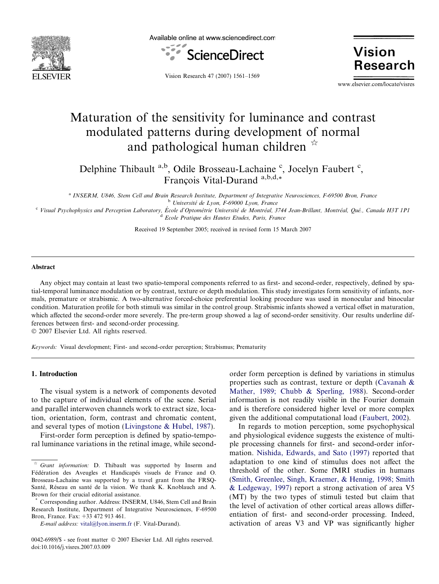

Available online at www.sciencedirect.com



**Vision Research** 

Vision Research 47 (2007) 1561–1569

www.elsevier.com/locate/visres

# Maturation of the sensitivity for luminance and contrast modulated patterns during development of normal and pathological human children  $\dot{\alpha}$

Delphine Thibault a,b, Odile Brosseau-Lachaine <sup>c</sup>, Jocelyn Faubert <sup>c</sup>, François Vital-Durand a,b,d,\*

a INSERM, U846, Stem Cell and Brain Research Institute, Department of Integrative Neurosciences, F-69500 Bron, France <sup>b</sup> Université de Lyon, F-69000 Lyon, France

<sup>c</sup> Visual Psychophysics and Perception Laboratory, École d'Optométrie Université de Montréal, 3744 Jean-Brillant, Montréal, Qué., Canada H3T 1P1 <sup>d</sup> Ecole Pratique des Hautes Etudes, Paris, France

Received 19 September 2005; received in revised form 15 March 2007

## Abstract

Any object may contain at least two spatio-temporal components referred to as first- and second-order, respectively, defined by spatial-temporal luminance modulation or by contrast, texture or depth modulation. This study investigates form sensitivity of infants, normals, premature or strabismic. A two-alternative forced-choice preferential looking procedure was used in monocular and binocular condition. Maturation profile for both stimuli was similar in the control group. Strabismic infants showed a vertical offset in maturation, which affected the second-order more severely. The pre-term group showed a lag of second-order sensitivity. Our results underline differences between first- and second-order processing.

 $© 2007 Elsevier Ltd. All rights reserved.$ 

Keywords: Visual development; First- and second-order perception; Strabismus; Prematurity

## 1. Introduction

The visual system is a network of components devoted to the capture of individual elements of the scene. Serial and parallel interwoven channels work to extract size, location, orientation, form, contrast and chromatic content, and several types of motion [\(Livingstone & Hubel, 1987\)](#page-7-0).

First-order form perception is defined by spatio-temporal luminance variations in the retinal image, while secondorder form perception is defined by variations in stimulus properties such as contrast, texture or depth ([Cavanah &](#page-7-0) [Mather, 1989; Chubb & Sperling, 1988](#page-7-0)). Second-order information is not readily visible in the Fourier domain and is therefore considered higher level or more complex given the additional computational load ([Faubert, 2002\)](#page-7-0).

In regards to motion perception, some psychophysical and physiological evidence suggests the existence of multiple processing channels for first- and second-order information. [Nishida, Edwards, and Sato \(1997\)](#page-7-0) reported that adaptation to one kind of stimulus does not affect the threshold of the other. Some fMRI studies in humans ([Smith, Greenlee, Singh, Kraemer, & Hennig, 1998; Smith](#page-7-0) [& Ledgeway, 1997\)](#page-7-0) report a strong activation of area V5 (MT) by the two types of stimuli tested but claim that the level of activation of other cortical areas allows differentiation of first- and second-order processing. Indeed, activation of areas V3 and VP was significantly higher

Grant information: D. Thibault was supported by Inserm and Fédération des Aveugles et Handicapés visuels de France and O. Brosseau-Lachaine was supported by a travel grant from the FRSQ-Santé, Réseau en santé de la vision. We thank K. Knoblauch and A. Brown for their crucial editorial assistance.

Corresponding author. Address: INSERM, U846, Stem Cell and Brain Research Institute, Department of Integrative Neurosciences, F-69500 Bron, France. Fax: +33 472 913 461.

E-mail address: [vital@lyon.inserm.fr](mailto:vital@lyon.inserm.fr) (F. Vital-Durand).

<sup>0042-6989/\$ -</sup> see front matter © 2007 Elsevier Ltd. All rights reserved. doi:10.1016/j.visres.2007.03.009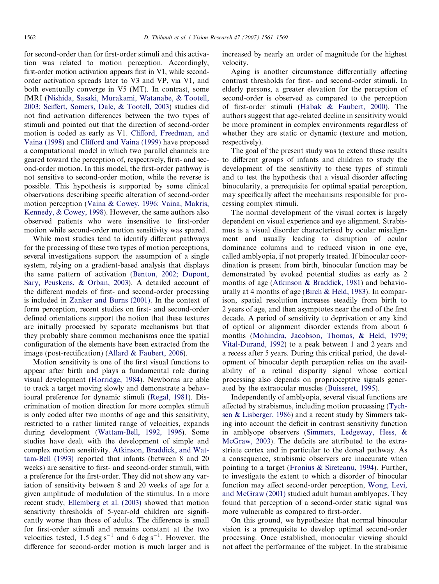for second-order than for first-order stimuli and this activation was related to motion perception. Accordingly, first-order motion activation appears first in V1, while secondorder activation spreads later to V3 and VP, via V1, and both eventually converge in V5 (MT). In contrast, some fMRI [\(Nishida, Sasaki, Murakami, Watanabe, & Tootell,](#page-7-0) [2003; Seiffert, Somers, Dale, & Tootell, 2003\)](#page-7-0) studies did not find activation differences between the two types of stimuli and pointed out that the direction of second-order motion is coded as early as V1. [Clifford, Freedman, and](#page-7-0) [Vaina \(1998\)](#page-7-0) and [Clifford and Vaina \(1999\)](#page-7-0) have proposed a computational model in which two parallel channels are geared toward the perception of, respectively, first- and second-order motion. In this model, the first-order pathway is not sensitive to second-order motion, while the reverse is possible. This hypothesis is supported by some clinical observations describing specific alteration of second-order motion perception [\(Vaina & Cowey, 1996; Vaina, Makris,](#page-8-0) [Kennedy, & Cowey, 1998\)](#page-8-0). However, the same authors also observed patients who were insensitive to first-order motion while second-order motion sensitivity was spared.

While most studies tend to identify different pathways for the processing of these two types of motion perceptions, several investigations support the assumption of a single system, relying on a gradient-based analysis that displays the same pattern of activation [\(Benton, 2002; Dupont,](#page-7-0) [Sary, Peuskens, & Orban, 2003](#page-7-0)). A detailed account of the different models of first- and second-order processing is included in [Zanker and Burns \(2001\).](#page-8-0) In the context of form perception, recent studies on first- and second-order defined orientations support the notion that these textures are initially processed by separate mechanisms but that they probably share common mechanisms once the spatial configuration of the elements have been extracted from the image (post-rectification) ([Allard & Faubert, 2006\)](#page-7-0).

Motion sensitivity is one of the first visual functions to appear after birth and plays a fundamental role during visual development ([Horridge, 1984\)](#page-7-0). Newborns are able to track a target moving slowly and demonstrate a behavioural preference for dynamic stimuli ([Regal, 1981](#page-7-0)). Discrimination of motion direction for more complex stimuli is only coded after two months of age and this sensitivity, restricted to a rather limited range of velocities, expands during development ([Wattam-Bell, 1992, 1996\)](#page-8-0). Some studies have dealt with the development of simple and complex motion sensitivity. [Atkinson, Braddick, and Wat](#page-7-0)[tam-Bell \(1993\)](#page-7-0) reported that infants (between 8 and 20 weeks) are sensitive to first- and second-order stimuli, with a preference for the first-order. They did not show any variation of sensitivity between 8 and 20 weeks of age for a given amplitude of modulation of the stimulus. In a more recent study, [Ellemberg et al. \(2003\)](#page-7-0) showed that motion sensitivity thresholds of 5-year-old children are significantly worse than those of adults. The difference is small for first-order stimuli and remains constant at the two velocities tested,  $1.5 \text{ deg s}^{-1}$  and  $6 \text{ deg s}^{-1}$ . However, the difference for second-order motion is much larger and is increased by nearly an order of magnitude for the highest velocity.

Aging is another circumstance differentially affecting contrast thresholds for first- and second-order stimuli. In elderly persons, a greater elevation for the perception of second-order is observed as compared to the perception of first-order stimuli ([Habak & Faubert, 2000\)](#page-7-0). The authors suggest that age-related decline in sensitivity would be more prominent in complex environments regardless of whether they are static or dynamic (texture and motion, respectively).

The goal of the present study was to extend these results to different groups of infants and children to study the development of the sensitivity to these types of stimuli and to test the hypothesis that a visual disorder affecting binocularity, a prerequisite for optimal spatial perception, may specifically affect the mechanisms responsible for processing complex stimuli.

The normal development of the visual cortex is largely dependent on visual experience and eye alignment. Strabismus is a visual disorder characterised by ocular misalignment and usually leading to disruption of ocular dominance columns and to reduced vision in one eye, called amblyopia, if not properly treated. If binocular coordination is present from birth, binocular function may be demonstrated by evoked potential studies as early as 2 months of age [\(Atkinson & Braddick, 1981\)](#page-7-0) and behaviourally at 4 months of age [\(Birch & Held, 1983](#page-7-0)). In comparison, spatial resolution increases steadily from birth to 2 years of age, and then asymptotes near the end of the first decade. A period of sensitivity to deprivation or any kind of optical or alignment disorder extends from about 6 months ([Mohindra, Jacobson, Thomas, & Held, 1979;](#page-7-0) [Vital-Durand, 1992\)](#page-7-0) to a peak between 1 and 2 years and a recess after 5 years. During this critical period, the development of binocular depth perception relies on the availability of a retinal disparity signal whose cortical processing also depends on proprioceptive signals generated by the extraocular muscles ([Buisseret, 1995](#page-7-0)).

Independently of amblyopia, several visual functions are affected by strabismus, including motion processing ([Tych](#page-7-0)[sen & Lisberger, 1986\)](#page-7-0) and a recent study by Simmers taking into account the deficit in contrast sensitivity function in amblyope observers [\(Simmers, Ledgeway, Hess, &](#page-7-0) [McGraw, 2003](#page-7-0)). The deficits are attributed to the extrastriate cortex and in particular to the dorsal pathway. As a consequence, strabismic observers are inaccurate when pointing to a target [\(Fronius & Sireteanu, 1994\)](#page-7-0). Further, to investigate the extent to which a disorder of binocular function may affect second-order perception, [Wong, Levi,](#page-8-0) [and McGraw \(2001\)](#page-8-0) studied adult human amblyopes. They found that perception of a second-order static signal was more vulnerable as compared to first-order.

On this ground, we hypothesize that normal binocular vision is a prerequisite to develop optimal second-order processing. Once established, monocular viewing should not affect the performance of the subject. In the strabismic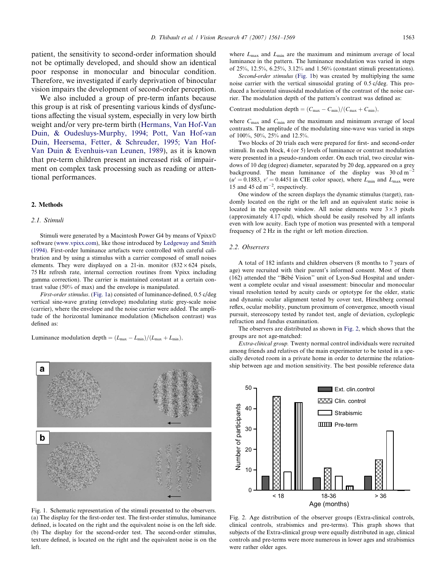patient, the sensitivity to second-order information should not be optimally developed, and should show an identical poor response in monocular and binocular condition. Therefore, we investigated if early deprivation of binocular vision impairs the development of second-order perception.

We also included a group of pre-term infants because this group is at risk of presenting various kinds of dysfunctions affecting the visual system, especially in very low birth weight and/or very pre-term birth [\(Hermans, Van Hof-Van](#page-7-0) [Duin, & Oudesluys-Murphy, 1994; Pott, Van Hof-van](#page-7-0) [Duin, Heersema, Fetter, & Schreuder, 1995; Van Hof-](#page-7-0)[Van Duin & Evenhuis-van Leunen, 1989\)](#page-7-0), as it is known that pre-term children present an increased risk of impairment on complex task processing such as reading or attentional performances.

#### 2. Methods

#### 2.1. Stimuli

Stimuli were generated by a Macintosh Power G4 by means of Vpixx© software [\(www.vpixx.com\)](http://www.vpixx.com), like those introduced by [Ledgeway and Smith](#page-7-0) [\(1994\).](#page-7-0) First-order luminance artefacts were controlled with careful calibration and by using a stimulus with a carrier composed of small noises elements. They were displayed on a 21-in. monitor  $(832 \times 624)$  pixels, 75 Hz refresh rate, internal correction routines from Vpixx including gamma correction). The carrier is maintained constant at a certain contrast value (50% of max) and the envelope is manipulated.

First-order stimulus. (Fig. 1a) consisted of luminance-defined, 0.5 c/deg vertical sine-wave grating (envelope) modulating static grey-scale noise (carrier), where the envelope and the noise carrier were added. The amplitude of the horizontal luminance modulation (Michelson contrast) was defined as:

Luminance modulation depth  $=(L_{\text{max}}-L_{\text{min}})/(L_{\text{max}}+L_{\text{min}})$ ,



Fig. 1. Schematic representation of the stimuli presented to the observers. (a) The display for the first-order test. The first-order stimulus, luminance defined, is located on the right and the equivalent noise is on the left side. (b) The display for the second-order test. The second-order stimulus, texture defined, is located on the right and the equivalent noise is on the left.

where  $L_{\text{max}}$  and  $L_{\text{min}}$  are the maximum and minimum average of local luminance in the pattern. The luminance modulation was varied in steps of 25%, 12.5%, 6.25%, 3.12% and 1.56% (constant stimuli presentations).

Second-order stimulus (Fig. 1b) was created by multiplying the same noise carrier with the vertical sinusoidal grating of 0.5 c/deg. This produced a horizontal sinusoidal modulation of the contrast of the noise carrier. The modulation depth of the pattern's contrast was defined as:

Contrast modulation depth =  $(C_{\text{max}} - C_{\text{min}})/(C_{\text{max}} + C_{\text{min}})$ ,

where  $C_{\text{max}}$  and  $C_{\text{min}}$  are the maximum and minimum average of local contrasts. The amplitude of the modulating sine-wave was varied in steps of 100%, 50%, 25% and 12.5%.

Two blocks of 20 trials each were prepared for first- and second-order stimuli. In each block, 4 (or 5) levels of luminance or contrast modulation were presented in a pseudo-random order. On each trial, two circular windows of 10 deg (degree) diameter, separated by 20 deg, appeared on a grey background. The mean luminance of the display was  $30 \text{ cd m}^{-2}$  $(u' = 0.1883, v' = 0.4451$  in CIE color space), where  $L_{\text{min}}$  and  $L_{\text{max}}$  were 15 and 45 cd  $m^{-2}$ , respectively.

One window of the screen displays the dynamic stimulus (target), randomly located on the right or the left and an equivalent static noise is located in the opposite window. All noise elements were  $3 \times 3$  pixels (approximately 4.17 cpd), which should be easily resolved by all infants even with low acuity. Each type of motion was presented with a temporal frequency of 2 Hz in the right or left motion direction.

## 2.2. Observers

A total of 182 infants and children observers (8 months to 7 years of age) were recruited with their parent's informed consent. Most of them (162) attended the "Bébé Vision" unit of Lyon-Sud Hospital and underwent a complete ocular and visual assessment: binocular and monocular visual resolution tested by acuity cards or optotype for the older, static and dynamic ocular alignment tested by cover test, Hirschberg corneal reflex, ocular mobility, punctum proximum of convergence, smooth visual pursuit, stereoscopy tested by randot test, angle of deviation, cycloplegic refraction and fundus examination.

The observers are distributed as shown in Fig. 2, which shows that the groups are not age-matched:

Extra-clinical group. Twenty normal control individuals were recruited among friends and relatives of the main experimenter to be tested in a specially devoted room in a private home in order to determine the relationship between age and motion sensitivity. The best possible reference data



Fig. 2. Age distribution of the observer groups (Extra-clinical controls, clinical controls, strabismics and pre-terms). This graph shows that subjects of the Extra-clinical group were equally distributed in age, clinical controls and pre-terms were more numerous in lower ages and strabismics were rather older ages.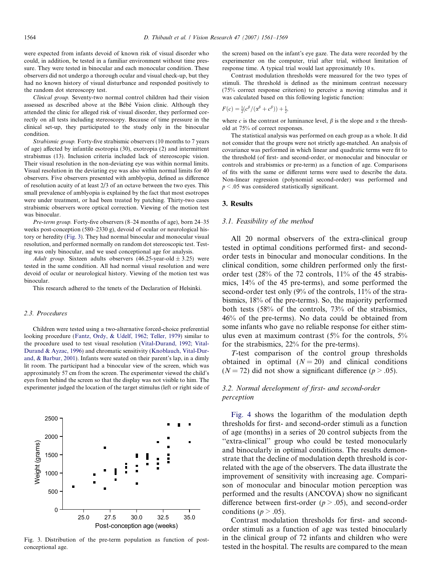were expected from infants devoid of known risk of visual disorder who could, in addition, be tested in a familiar environment without time pressure. They were tested in binocular and each monocular condition. These observers did not undergo a thorough ocular and visual check-up, but they had no known history of visual disturbance and responded positively to the random dot stereoscopy test.

Clinical group. Seventy-two normal control children had their vision assessed as described above at the Bébé Vision clinic. Although they attended the clinic for alleged risk of visual disorder, they performed correctly on all tests including stereoscopy. Because of time pressure in the clinical set-up, they participated to the study only in the binocular condition.

Strabismic group. Forty-five strabismic observers (10 months to 7 years of age) affected by infantile esotropia (30), exotropia (2) and intermittent strabismus (13). Inclusion criteria included lack of stereoscopic vision. Their visual resolution in the non-deviating eye was within normal limits. Visual resolution in the deviating eye was also within normal limits for 40 observers. Five observers presented with amblyopia, defined as difference of resolution acuity of at least 2/3 of an octave between the two eyes. This small prevalence of amblyopia is explained by the fact that most esotropes were under treatment, or had been treated by patching. Thirty-two cases strabismic observers wore optical correction. Viewing of the motion test was binocular.

Pre-term group. Forty-five observers (8–24 months of age), born 24–35 weeks post-conception (580–2330 g), devoid of ocular or neurological history or heredity (Fig. 3). They had normal binocular and monocular visual resolution, and performed normally on random dot stereoscopic test. Testing was only binocular, and we used conceptional age for analysis.

Adult group. Sixteen adults observers (46.25-year-old  $\pm$  3.25) were tested in the same condition. All had normal visual resolution and were devoid of ocular or neurological history. Viewing of the motion test was binocular.

This research adhered to the tenets of the Declaration of Helsinki.

## 2.3. Procedures

Children were tested using a two-alternative forced-choice preferential looking procedure [\(Fantz, Ordy, & Udelf, 1962; Teller, 1979\)](#page-7-0) similar to the procedure used to test visual resolution ([Vital-Durand, 1992; Vital-](#page-8-0)[Durand & Ayzac, 1996](#page-8-0)) and chromatic sensitivity [\(Knoblauch, Vital-Dur](#page-7-0)[and, & Barbur, 2001](#page-7-0)). Infants were seated on their parent's lap, in a dimly lit room. The participant had a binocular view of the screen, which was approximately 57 cm from the screen. The experimenter viewed the child's eyes from behind the screen so that the display was not visible to him. The experimenter judged the location of the target stimulus (left or right side of



Fig. 3. Distribution of the pre-term population as function of postconceptional age.

the screen) based on the infant's eye gaze. The data were recorded by the experimenter on the computer, trial after trial, without limitation of response time. A typical trial would last approximately 10 s.

Contrast modulation thresholds were measured for the two types of stimuli. The threshold is defined as the minimum contrast necessary (75% correct response criterion) to perceive a moving stimulus and it was calculated based on this following logistic function:

$$
F(c) = \frac{1}{2}(c^{\beta}/(\alpha^{\beta} + c^{\beta})) + \frac{1}{2},
$$

where c is the contrast or luminance level,  $\beta$  is the slope and  $\alpha$  the threshold at 75% of correct responses.

The statistical analysis was performed on each group as a whole. It did not consider that the groups were not strictly age-matched. An analysis of covariance was performed in which linear and quadratic terms were fit to the threshold (of first- and second-order, or monocular and binocular or controls and strabismics or pre-term) as a function of age. Comparisons of fits with the same or different terms were used to describe the data. Non-linear regression (polynomial second-order) was performed and  $p < .05$  was considered statistically significant.

#### 3. Results

#### 3.1. Feasibility of the method

All 20 normal observers of the extra-clinical group tested in optimal conditions performed first- and secondorder tests in binocular and monocular conditions. In the clinical condition, some children performed only the firstorder test (28% of the 72 controls, 11% of the 45 strabismics, 14% of the 45 pre-terms), and some performed the second-order test only (9% of the controls, 11% of the strabismics, 18% of the pre-terms). So, the majority performed both tests (58% of the controls, 73% of the strabismics, 46% of the pre-terms). No data could be obtained from some infants who gave no reliable response for either stimulus even at maximum contrast (5% for the controls, 5% for the strabismics, 22% for the pre-terms).

T-test comparison of the control group thresholds obtained in optimal  $(N = 20)$  and clinical conditions  $(N = 72)$  did not show a significant difference  $(p > .05)$ .

# 3.2. Normal development of first- and second-order perception

[Fig. 4](#page-4-0) shows the logarithm of the modulation depth thresholds for first- and second-order stimuli as a function of age (months) in a series of 20 control subjects from the ''extra-clinical'' group who could be tested monocularly and binocularly in optimal conditions. The results demonstrate that the decline of modulation depth threshold is correlated with the age of the observers. The data illustrate the improvement of sensitivity with increasing age. Comparison of monocular and binocular motion perception was performed and the results (ANCOVA) show no significant difference between first-order ( $p > .05$ ), and second-order conditions ( $p > .05$ ).

Contrast modulation thresholds for first- and secondorder stimuli as a function of age was tested binocularly in the clinical group of 72 infants and children who were tested in the hospital. The results are compared to the mean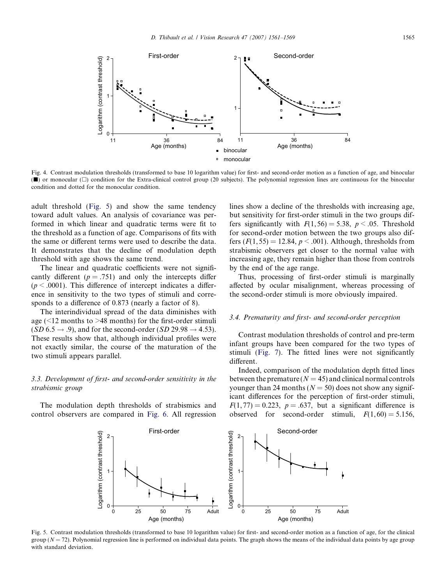<span id="page-4-0"></span>

Fig. 4. Contrast modulation thresholds (transformed to base 10 logarithm value) for first- and second-order motion as a function of age, and binocular ( $\blacksquare$ ) or monocular ( $\square$ ) condition for the Extra-clinical control group (20 subjects). The polynomial regression lines are continuous for the binocular condition and dotted for the monocular condition.

adult threshold (Fig. 5) and show the same tendency toward adult values. An analysis of covariance was performed in which linear and quadratic terms were fit to the threshold as a function of age. Comparisons of fits with the same or different terms were used to describe the data. It demonstrates that the decline of modulation depth threshold with age shows the same trend.

The linear and quadratic coefficients were not significantly different ( $p = .751$ ) and only the intercepts differ  $(p \leq .0001)$ . This difference of intercept indicates a difference in sensitivity to the two types of stimuli and corresponds to a difference of 0.873 (nearly a factor of 8).

The interindividual spread of the data diminishes with age  $(\leq 12$  months to  $\geq 48$  months) for the first-order stimuli  $(SD 6.5 \rightarrow .9)$ , and for the second-order  $(SD 29.98 \rightarrow 4.53)$ . These results show that, although individual profiles were not exactly similar, the course of the maturation of the two stimuli appears parallel.

# 3.3. Development of first- and second-order sensitivity in the strabismic group

The modulation depth thresholds of strabismics and control observers are compared in [Fig. 6.](#page-5-0) All regression lines show a decline of the thresholds with increasing age, but sensitivity for first-order stimuli in the two groups differs significantly with  $F(1, 56) = 5.38$ ,  $p < .05$ . Threshold for second-order motion between the two groups also differs  $(F(1, 55) = 12.84, p \le 0.001)$ . Although, thresholds from strabismic observers get closer to the normal value with increasing age, they remain higher than those from controls by the end of the age range.

Thus, processing of first-order stimuli is marginally affected by ocular misalignment, whereas processing of the second-order stimuli is more obviously impaired.

# 3.4. Prematurity and first- and second-order perception

Contrast modulation thresholds of control and pre-term infant groups have been compared for the two types of stimuli ([Fig. 7\)](#page-5-0). The fitted lines were not significantly different.

Indeed, comparison of the modulation depth fitted lines between the premature  $(N = 45)$  and clinical normal controls younger than 24 months ( $N = 50$ ) does not show any significant differences for the perception of first-order stimuli,  $F(1, 77) = 0.223$ ,  $p = .637$ , but a significant difference is observed for second-order stimuli,  $F(1, 60) = 5.156$ ,



Fig. 5. Contrast modulation thresholds (transformed to base 10 logarithm value) for first- and second-order motion as a function of age, for the clinical group ( $N = 72$ ). Polynomial regression line is performed on individual data points. The graph shows the means of the individual data points by age group with standard deviation.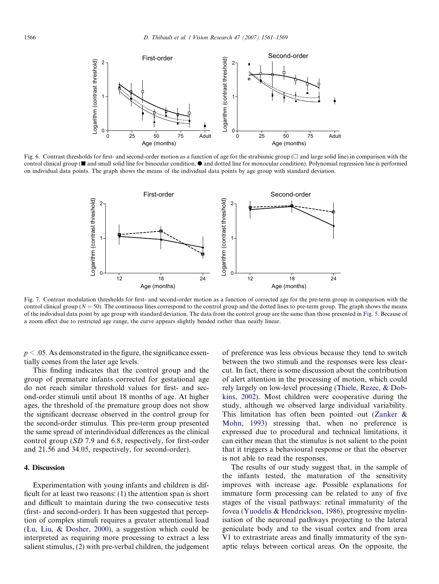<span id="page-5-0"></span>

Fig. 6. Contrast thresholds for first- and second-order motion as a function of age for the strabismic group  $\Box$  and large solid line) in comparison with the control clinical group ( $\blacksquare$  and small solid line for binocular condition,  $\lozenge$  and dotted line for monocular condition). Polynomial regression line is performed on individual data points. The graph shows the means of the individual data points by age group with standard deviation.



Fig. 7. Contrast modulation thresholds for first- and second-order motion as a function of corrected age for the pre-term group in comparison with the control clinical group ( $N = 50$ ). The continuous lines correspond to the control group and the dotted lines to pre-term group. The graph shows the means of the individual data point by age group with standard deviation. The data from the control group are the same than those presented in [Fig. 5.](#page-4-0) Because of a zoom effect due to restricted age range, the curve appears slightly bended rather than nearly linear.

 $p < .05$ . As demonstrated in the figure, the significance essentially comes from the later age levels.

This finding indicates that the control group and the group of premature infants corrected for gestational age do not reach similar threshold values for first- and second-order stimuli until about 18 months of age. At higher ages, the threshold of the premature group does not show the significant decrease observed in the control group for the second-order stimulus. This pre-term group presented the same spread of interindividual differences as the clinical control group (SD 7.9 and 6.8, respectively, for first-order and 21.56 and 34.05, respectively, for second-order).

## 4. Discussion

Experimentation with young infants and children is difficult for at least two reasons: (1) the attention span is short and difficult to maintain during the two consecutive tests (first- and second-order). It has been suggested that perception of complex stimuli requires a greater attentional load [\(Lu, Liu, & Dosher, 2000\)](#page-7-0), a suggestion which could be interpreted as requiring more processing to extract a less salient stimulus, (2) with pre-verbal children, the judgement of preference was less obvious because they tend to switch between the two stimuli and the responses were less clearcut. In fact, there is some discussion about the contribution of alert attention in the processing of motion, which could rely largely on low-level processing [\(Thiele, Rezec, & Dob](#page-7-0)[kins, 2002](#page-7-0)). Most children were cooperative during the study, although we observed large individual variability. This limitation has often been pointed out [\(Zanker &](#page-8-0) [Mohn, 1993](#page-8-0)) stressing that, when no preference is expressed due to procedural and technical limitations, it can either mean that the stimulus is not salient to the point that it triggers a behavioural response or that the observer is not able to read the responses.

The results of our study suggest that, in the sample of the infants tested, the maturation of the sensitivity improves with increase age. Possible explanations for immature form processing can be related to any of five stages of the visual pathways: retinal immaturity of the fovea ([Yuodelis & Hendrickson, 1986\)](#page-8-0), progressive myelinisation of the neuronal pathways projecting to the lateral geniculate body and to the visual cortex and from area V1 to extrastriate areas and finally immaturity of the synaptic relays between cortical areas. On the opposite, the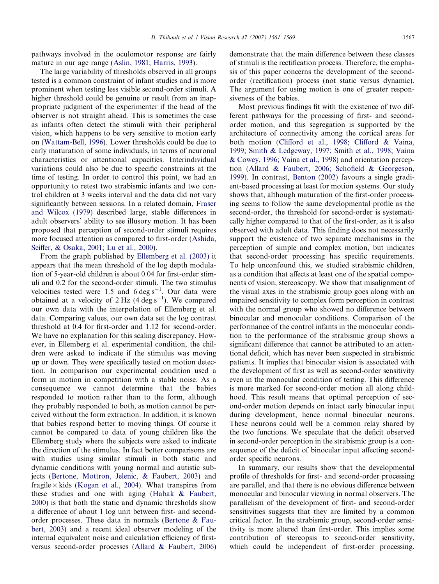pathways involved in the oculomotor response are fairly mature in our age range ([Aslin, 1981; Harris, 1993\)](#page-7-0).

The large variability of thresholds observed in all groups tested is a common constraint of infant studies and is more prominent when testing less visible second-order stimuli. A higher threshold could be genuine or result from an inappropriate judgment of the experimenter if the head of the observer is not straight ahead. This is sometimes the case as infants often detect the stimuli with their peripheral vision, which happens to be very sensitive to motion early on ([Wattam-Bell, 1996](#page-8-0)). Lower thresholds could be due to early maturation of some individuals, in terms of neuronal characteristics or attentional capacities. Interindividual variations could also be due to specific constraints at the time of testing. In order to control this point, we had an opportunity to retest two strabismic infants and two control children at 3 weeks interval and the data did not vary significantly between sessions. In a related domain, [Fraser](#page-7-0) [and Wilcox \(1979\)](#page-7-0) described large, stable differences in adult observers' ability to see illusory motion. It has been proposed that perception of second-order stimuli requires more focused attention as compared to first-order ([Ashida,](#page-7-0) [Seiffer, & Osaka, 2001; Lu et al., 2000\)](#page-7-0).

From the graph published by [Ellemberg et al. \(2003\)](#page-7-0) it appears that the mean threshold of the log depth modulation of 5-year-old children is about 0.04 for first-order stimuli and 0.2 for the second-order stimuli. The two stimulus velocities tested were 1.5 and  $6 \text{ deg s}^{-1}$ . Our data were obtained at a velocity of 2 Hz (4 deg  $s^{-1}$ ). We compared our own data with the interpolation of Ellemberg et al. data. Comparing values, our own data set the log contrast threshold at 0.4 for first-order and 1.12 for second-order. We have no explanation for this scaling discrepancy. However, in Ellemberg et al. experimental condition, the children were asked to indicate if the stimulus was moving up or down. They were specifically tested on motion detection. In comparison our experimental condition used a form in motion in competition with a stable noise. As a consequence we cannot determine that the babies responded to motion rather than to the form, although they probably responded to both, as motion cannot be perceived without the form extraction. In addition, it is known that babies respond better to moving things. Of course it cannot be compared to data of young children like the Ellemberg study where the subjects were asked to indicate the direction of the stimulus. In fact better comparisons are with studies using similar stimuli in both static and dynamic conditions with young normal and autistic subjects ([Bertone, Mottron, Jelenic, & Faubert, 2003\)](#page-7-0) and fragile  $\times$  kids [\(Kogan et al., 2004](#page-7-0)). What transpires from these studies and one with aging [\(Habak & Faubert,](#page-7-0) [2000](#page-7-0)) is that both the static and dynamic thresholds show a difference of about 1 log unit between first- and secondorder processes. These data in normals [\(Bertone & Fau](#page-7-0)[bert, 2003](#page-7-0)) and a recent ideal observer modeling of the internal equivalent noise and calculation efficiency of firstversus second-order processes ([Allard & Faubert, 2006](#page-7-0)) demonstrate that the main difference between these classes of stimuli is the rectification process. Therefore, the emphasis of this paper concerns the development of the secondorder (rectification) process (not static versus dynamic). The argument for using motion is one of greater responsiveness of the babies.

Most previous findings fit with the existence of two different pathways for the processing of first- and secondorder motion, and this segregation is supported by the architecture of connectivity among the cortical areas for both motion [\(Clifford et al., 1998; Clifford & Vaina,](#page-7-0) [1999; Smith & Ledgeway, 1997; Smith et al., 1998; Vaina](#page-7-0) [& Cowey, 1996; Vaina et al., 1998](#page-7-0)) and orientation perception ([Allard & Faubert, 2006; Schofield & Georgeson,](#page-7-0) [1999](#page-7-0)). In contrast, [Benton \(2002\)](#page-7-0) favours a single gradient-based processing at least for motion systems. Our study shows that, although maturation of the first-order processing seems to follow the same developmental profile as the second-order, the threshold for second-order is systematically higher compared to that of the first-order, as it is also observed with adult data. This finding does not necessarily support the existence of two separate mechanisms in the perception of simple and complex motion, but indicates that second-order processing has specific requirements. To help unconfound this, we studied strabismic children, as a condition that affects at least one of the spatial components of vision, stereoscopy. We show that misalignment of the visual axes in the strabismic group goes along with an impaired sensitivity to complex form perception in contrast with the normal group who showed no difference between binocular and monocular conditions. Comparison of the performance of the control infants in the monocular condition to the performance of the strabismic group shows a significant difference that cannot be attributed to an attentional deficit, which has never been suspected in strabismic patients. It implies that binocular vision is associated with the development of first as well as second-order sensitivity even in the monocular condition of testing. This difference is more marked for second-order motion all along childhood. This result means that optimal perception of second-order motion depends on intact early binocular input during development, hence normal binocular neurons. These neurons could well be a common relay shared by the two functions. We speculate that the deficit observed in second-order perception in the strabismic group is a consequence of the deficit of binocular input affecting secondorder specific neurons.

In summary, our results show that the developmental profile of thresholds for first- and second-order processing are parallel, and that there is no obvious difference between monocular and binocular viewing in normal observers. The parallelism of the development of first- and second-order sensitivities suggests that they are limited by a common critical factor. In the strabismic group, second-order sensitivity is more altered than first-order. This implies some contribution of stereopsis to second-order sensitivity, which could be independent of first-order processing.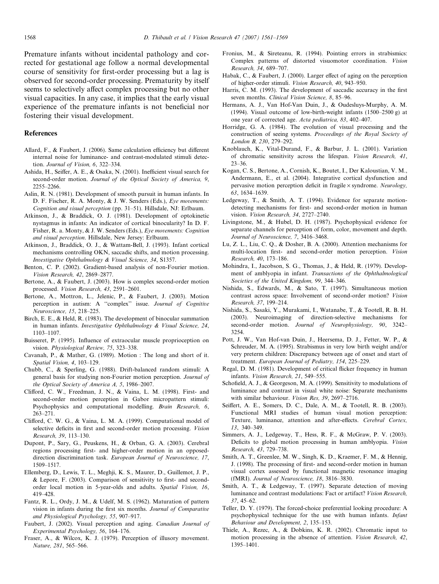<span id="page-7-0"></span>Premature infants without incidental pathology and corrected for gestational age follow a normal developmental course of sensitivity for first-order processing but a lag is observed for second-order processing. Prematurity by itself seems to selectively affect complex processing but no other visual capacities. In any case, it implies that the early visual experience of the premature infants is not beneficial nor fostering their visual development.

## References

- Allard, F., & Faubert, J. (2006). Same calculation efficiency but different internal noise for luminance- and contrast-modulated stimuli detection. Journal of Vision, 6, 322–334.
- Ashida, H., Seiffer, A. E., & Osaka, N. (2001). Inefficient visual search for second-order motion. Journal of the Optical Society of America, 9, 2255–2266.
- Aslin, R. N. (1981). Development of smooth pursuit in human infants. In D. F. Fischer, R. A. Monty, & J. W. Senders (Eds.), Eye movements: Cognition and visual perception (pp. 31–51). Hillsdale, NJ: Erlbaum.
- Atkinson, J., & Braddick, O. J. (1981). Development of optokinetic nystagmus in infants: An indicator of cortical binocularity? In D. F. Fisher, R. a. Monty, & J. W. Senders (Eds.), Eye movements: Cognition and visual perception. Hillsdale, New Jersey: Erlbaum.
- Atkinson, J., Braddick, O. J., & Wattam-Bell, J. (1993). Infant cortical mechanisms controlling OKN, saccadic shifts, and motion processing. Investigative Ophthalmology & Visual Science, 34, S1357.
- Benton, C. P. (2002). Gradient-based analysis of non-Fourier motion. Vision Research, 42, 2869–2877.
- Bertone, A., & Faubert, J. (2003). How is complex second-order motion processed. Vision Research, 43, 2591–2601.
- Bertone, A., Mottron, L., Jelenic, P., & Faubert, J. (2003). Motion perception in autism: A ''complex'' issue. Journal of Cognitive Neuroscience, 15, 218–225.
- Birch, E. E., & Held, R. (1983). The development of binocular summation in human infants. Investigative Ophthalmology & Visual Science, 24, 1103–1107.
- Buisseret, P. (1995). Influence of extraocular muscle proprioception on vision. Physiological Review, 75, 323–338.
- Cavanah, P., & Mather, G. (1989). Motion : The long and short of it. Spatial Vision, 4, 103–129.
- Chubb, C., & Sperling, G. (1988). Drift-balanced random stimuli: A general basis for studying non-Fourier motion perception. Journal of the Optical Society of America A, 5, 1986–2007.
- Clifford, C. W., Freedman, J. N., & Vaina, L. M. (1998). First- and second-order motion perception in Gabor micropattern stimuli: Psychophysics and computational modelling. Brain Research, 6, 263–271.
- Clifford, C. W. G., & Vaina, L. M. A. (1999). Computational model of selective deficits in first and second-order motion processing. Vision Research, 39, 113–130.
- Dupont, P., Sary, G., Peuskens, H., & Orban, G. A. (2003). Cerebral regions processing first- and higher-order motion in an opposeddirection discrimination task. European Journal of Neuroscience, 17, 1509–1517.
- Ellemberg, D., Lewis, T. L., Meghji, K. S., Maurer, D., Guillemot, J. P., & Lepore, F. (2003). Comparison of sensitivity to first- and secondorder local motion in 5-year-olds and adults. Spatial Vision, 16, 419–428.
- Fantz, R. L., Ordy, J. M., & Udelf, M. S. (1962). Maturation of pattern vision in infants during the first six months. Journal of Comparative and Physiological Psychology, 55, 907–917.
- Faubert, J. (2002). Visual perception and aging. Canadian Journal of Experimental Psychology, 56, 164–176.
- Fraser, A., & Wilcox, K. J. (1979). Perception of illusory movement. Nature, 281, 565–566.
- Fronius, M., & Sireteanu, R. (1994). Pointing errors in strabismics: Complex patterns of distorted visuomotor coordination. Vision Research, 34, 689–707.
- Habak, C., & Faubert, J. (2000). Larger effect of aging on the perception of higher-order stimuli. Vision Research, 40, 943–950.
- Harris, C. M. (1993). The development of saccadic accuracy in the first seven months. Clinical Vision Science, 8, 85–96.
- Hermans, A. J., Van Hof-Van Duin, J., & Oudesluys-Murphy, A. M. (1994). Visual outcome of low-birth-weight infants (1500–2500 g) at one year of corrected age. Acta pediatrica, 83, 402–407.
- Horridge, G. A. (1984). The evolution of visual processing and the construction of seeing systems. Proceedings of the Royal Society of London B, 230, 279–292.
- Knoblauch, K., Vital-Durand, F., & Barbur, J. L. (2001). Variation of chromatic sensitivity across the lifespan. Vision Research, 41, 23–36.
- Kogan, C. S., Bertone, A., Cornish, K., Boutet, I., Der Kaloustian, V. M., Andermann, E., et al. (2004). Integrative cortical dysfunction and pervasive motion perception deficit in fragile  $\times$  syndrome. Neurology, 63, 1634–1639.
- Ledgeway, T., & Smith, A. T. (1994). Evidence for separate motiondetecting mechanisms for first- and second-order motion in human vision. Vision Research, 34, 2727–2740.
- Livingstone, M., & Hubel, D. H. (1987). Psychophysical evidence for separate channels for perception of form, color, movement and depth. Journal of Neuroscience, 7, 3416–3468.
- Lu, Z. L., Liu, C. Q., & Dosher, B. A. (2000). Attention mechanisms for multi-location first- and second-order motion perception. Vision Research, 40, 173–186.
- Mohindra, I., Jacobson, S. G., Thomas, J., & Held, R. (1979). Development of amblyopia in infant. Transactions of the Ophthalmological Societies of the United Kingdom, 99, 344–346.
- Nishida, S., Edwards, M., & Sato, T. (1997). Simultaneous motion contrast across space: Involvement of second-order motion? Vision Research, 37, 199–214.
- Nishida, S., Sasaki, Y., Murakami, I., Watanabe, T., & Tootell, R. B. H. (2003). Neuroimaging of direction-selective mechanisms for second-order motion. Journal of Neurophysiology, 90, 3242– 3254.
- Pott, J. W., Van Hof-van Duin, J., Heersema, D. J., Fetter, W. P., & Schreuder, M. A. (1995). Strabismus in very low birth weight and/or very preterm children: Discrepancy between age of onset and start of treatment. European Journal of Pediatry, 154, 225–229.
- Regal, D. M. (1981). Development of critical flicker frequency in human infants. Vision Research, 21, 549–555.
- Schofield, A. J., & Georgeson, M. A. (1999). Sensitivity to modulations of luminance and contrast in visual white noise: Separate mechanisms with similar behaviour. Vision Res, 39, 2697–2716.
- Seiffert, A. E., Somers, D. C., Dale, A. M., & Tootell, R. B. (2003). Functional MRI studies of human visual motion perception: Texture, luminance, attention and after-effects. Cerebral Cortex, 13, 340–349.
- Simmers, A. J., Ledgeway, T., Hess, R. F., & McGraw, P. V. (2003). Deficits to global motion processing in human amblyopia. Vision Research, 43, 729–738.
- Smith, A. T., Greenlee, M. W., Singh, K. D., Kraemer, F. M., & Hennig, J. (1998). The processing of first- and second-order motion in human visual cortex assessed by functional magnetic resonance imaging (fMRI). Journal of Neuroscience, 18, 3816–3830.
- Smith, A. T., & Ledgeway, T. (1997). Separate detection of moving luminance and contrast modulations: Fact or artifact? Vision Research, 37, 45–62.
- Teller, D. Y. (1979). The forced-choice preferential looking procedure: A psychophysical technique for the use with human infants. Infant Behaviour and Development, 2, 135–153.
- Thiele, A., Rezec, A., & Dobkins, K. R. (2002). Chromatic input to motion processing in the absence of attention. Vision Research, 42, 1395–1401.